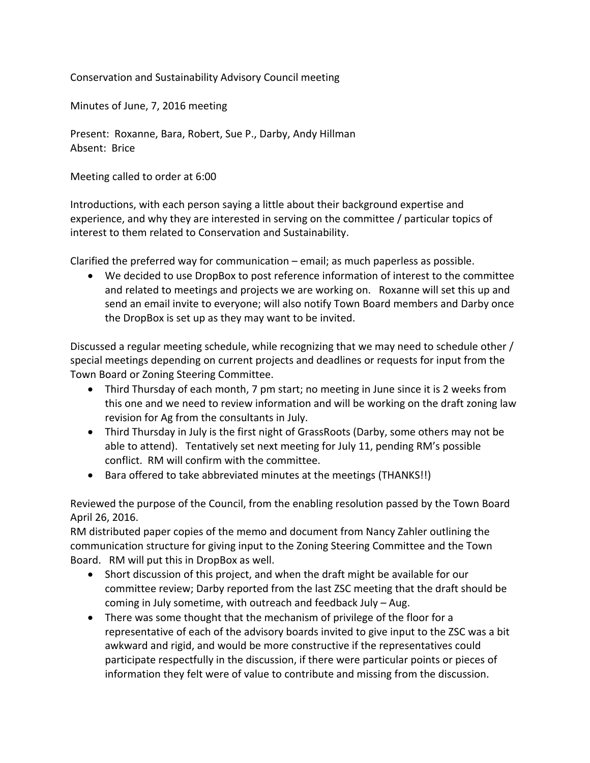Conservation and Sustainability Advisory Council meeting

Minutes of June, 7, 2016 meeting

Present: Roxanne, Bara, Robert, Sue P., Darby, Andy Hillman Absent: Brice

Meeting called to order at 6:00

Introductions, with each person saying a little about their background expertise and experience, and why they are interested in serving on the committee / particular topics of interest to them related to Conservation and Sustainability.

Clarified the preferred way for communication  $-$  email; as much paperless as possible.

• We decided to use DropBox to post reference information of interest to the committee and related to meetings and projects we are working on. Roxanne will set this up and send an email invite to everyone; will also notify Town Board members and Darby once the DropBox is set up as they may want to be invited.

Discussed a regular meeting schedule, while recognizing that we may need to schedule other / special meetings depending on current projects and deadlines or requests for input from the Town Board or Zoning Steering Committee.

- Third Thursday of each month, 7 pm start; no meeting in June since it is 2 weeks from this one and we need to review information and will be working on the draft zoning law revision for Ag from the consultants in July.
- Third Thursday in July is the first night of GrassRoots (Darby, some others may not be able to attend). Tentatively set next meeting for July 11, pending RM's possible conflict. RM will confirm with the committee.
- Bara offered to take abbreviated minutes at the meetings (THANKS!!)

Reviewed the purpose of the Council, from the enabling resolution passed by the Town Board April 26, 2016.

RM distributed paper copies of the memo and document from Nancy Zahler outlining the communication structure for giving input to the Zoning Steering Committee and the Town Board. RM will put this in DropBox as well.

- Short discussion of this project, and when the draft might be available for our committee review; Darby reported from the last ZSC meeting that the draft should be coming in July sometime, with outreach and feedback July  $-$  Aug.
- There was some thought that the mechanism of privilege of the floor for a representative of each of the advisory boards invited to give input to the ZSC was a bit awkward and rigid, and would be more constructive if the representatives could participate respectfully in the discussion, if there were particular points or pieces of information they felt were of value to contribute and missing from the discussion.